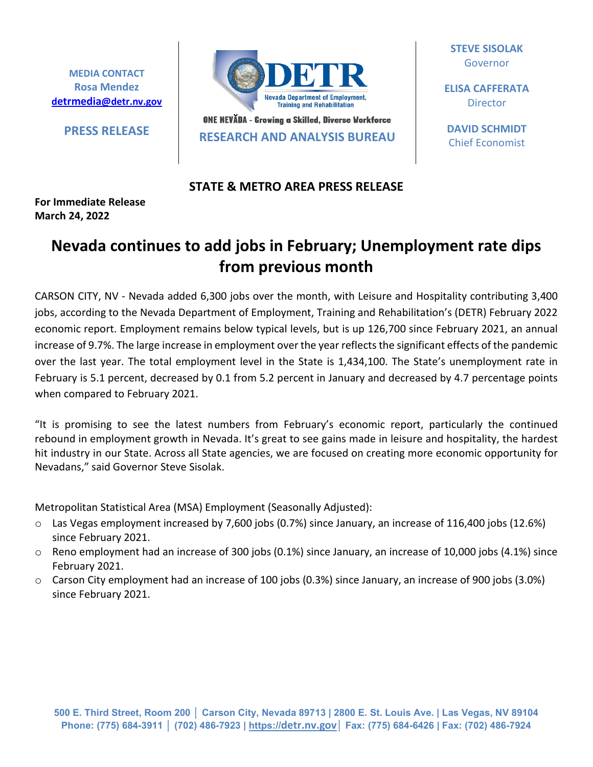**MEDIA CONTACT Rosa Mendez [detrmedia@detr.nv.gov](mailto:detrmedia@detr.nv.gov)**



**PRESS RELEASE BUT AND A PRESS RELEASE RESEARCH AND ANALYSIS BUREAU** 

**STEVE SISOLAK** Governor

**ELISA CAFFERATA Director** 

**DAVID SCHMIDT** Chief Economist

## **STATE & METRO AREA PRESS RELEASE**

## **For Immediate Release March 24, 2022**

## **Nevada continues to add jobs in February; Unemployment rate dips from previous month**

CARSON CITY, NV - Nevada added 6,300 jobs over the month, with Leisure and Hospitality contributing 3,400 jobs, according to the Nevada Department of Employment, Training and Rehabilitation's (DETR) February 2022 economic report. Employment remains below typical levels, but is up 126,700 since February 2021, an annual increase of 9.7%. The large increase in employment over the year reflects the significant effects of the pandemic over the last year. The total employment level in the State is 1,434,100. The State's unemployment rate in February is 5.1 percent, decreased by 0.1 from 5.2 percent in January and decreased by 4.7 percentage points when compared to February 2021.

"It is promising to see the latest numbers from February's economic report, particularly the continued rebound in employment growth in Nevada. It's great to see gains made in leisure and hospitality, the hardest hit industry in our State. Across all State agencies, we are focused on creating more economic opportunity for Nevadans," said Governor Steve Sisolak.

Metropolitan Statistical Area (MSA) Employment (Seasonally Adjusted):

- $\circ$  Las Vegas employment increased by 7,600 jobs (0.7%) since January, an increase of 116,400 jobs (12.6%) since February 2021.
- $\circ$  Reno employment had an increase of 300 jobs (0.1%) since January, an increase of 10,000 jobs (4.1%) since February 2021.
- o Carson City employment had an increase of 100 jobs (0.3%) since January, an increase of 900 jobs (3.0%) since February 2021.